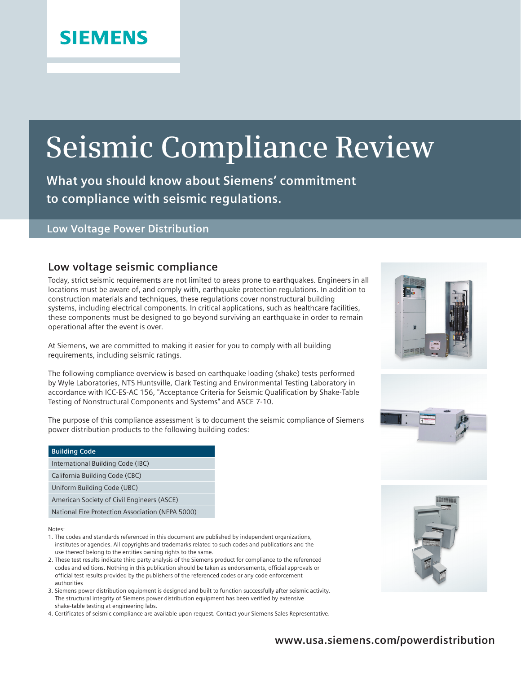# **Seismic Compliance Review**

**What you should know about Siemens' commitment to compliance with seismic regulations.**

#### **Low Voltage Power Distribution**

### **Low voltage seismic compliance**

Today, strict seismic requirements are not limited to areas prone to earthquakes. Engineers in all locations must be aware of, and comply with, earthquake protection regulations. In addition to construction materials and techniques, these regulations cover nonstructural building systems, including electrical components. In critical applications, such as healthcare facilities, these components must be designed to go beyond surviving an earthquake in order to remain operational after the event is over.

At Siemens, we are committed to making it easier for you to comply with all building requirements, including seismic ratings.

The following compliance overview is based on earthquake loading (shake) tests performed by Wyle Laboratories, NTS Huntsville, Clark Testing and Environmental Testing Laboratory in accordance with ICC-ES-AC 156, "Acceptance Criteria for Seismic Qualification by Shake-Table Testing of Nonstructural Components and Systems" and ASCE 7-10.

The purpose of this compliance assessment is to document the seismic compliance of Siemens power distribution products to the following building codes:

| <b>Building Code</b>                             |  |  |  |  |
|--------------------------------------------------|--|--|--|--|
| International Building Code (IBC)                |  |  |  |  |
| California Building Code (CBC)                   |  |  |  |  |
| Uniform Building Code (UBC)                      |  |  |  |  |
| American Society of Civil Engineers (ASCE)       |  |  |  |  |
| National Fire Protection Association (NFPA 5000) |  |  |  |  |

Notes:

- 1. The codes and standards referenced in this document are published by independent organizations, institutes or agencies. All copyrights and trademarks related to such codes and publications and the use thereof belong to the entities owning rights to the same.
- 2. These test results indicate third party analysis of the Siemens product for compliance to the referenced codes and editions. Nothing in this publication should be taken as endorsements, official approvals or official test results provided by the publishers of the referenced codes or any code enforcement authorities
- 3. Siemens power distribution equipment is designed and built to function successfully after seismic activity. The structural integrity of Siemens power distribution equipment has been verified by extensive shake-table testing at engineering labs.
- 4. Certificates of seismic compliance are available upon request. Contact your Siemens Sales Representative.





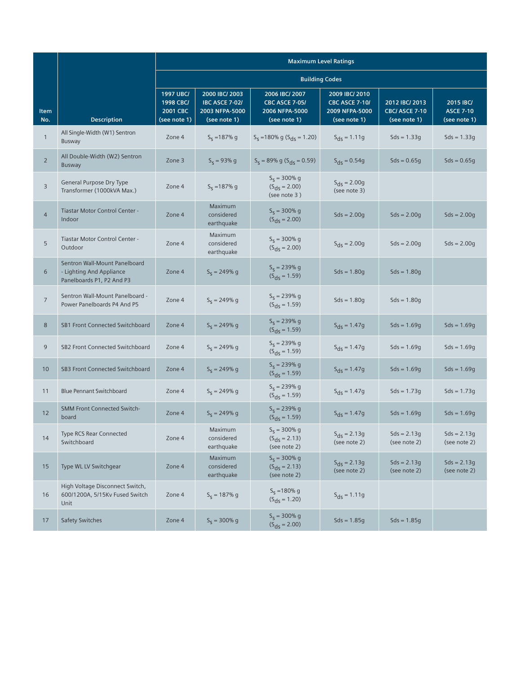|                 |                                                                                        | <b>Maximum Level Ratings</b>                              |                                                                           |                                                                           |                                                                           |                                                         |                                               |
|-----------------|----------------------------------------------------------------------------------------|-----------------------------------------------------------|---------------------------------------------------------------------------|---------------------------------------------------------------------------|---------------------------------------------------------------------------|---------------------------------------------------------|-----------------------------------------------|
|                 |                                                                                        | <b>Building Codes</b>                                     |                                                                           |                                                                           |                                                                           |                                                         |                                               |
| Item<br>No.     | <b>Description</b>                                                                     | <b>1997 UBC/</b><br>1998 CBC/<br>2001 CBC<br>(see note 1) | 2000 IBC/ 2003<br><b>IBC ASCE 7-02/</b><br>2003 NFPA-5000<br>(see note 1) | 2006 IBC/ 2007<br><b>CBC ASCE 7-05/</b><br>2006 NFPA-5000<br>(see note 1) | 2009 IBC/ 2010<br><b>CBC ASCE 7-10/</b><br>2009 NFPA-5000<br>(see note 1) | 2012 IBC/ 2013<br><b>CBC/ ASCE 7-10</b><br>(see note 1) | 2015 IBC/<br><b>ASCE 7-10</b><br>(see note 1) |
| $\mathbf{1}$    | All Single-Width (W1) Sentron<br>Busway                                                | Zone 4                                                    | $S_5 = 187\%$ g                                                           | $S_5$ = 180% g ( $S_{\text{dS}}$ = 1.20)                                  | $S_{ds} = 1.11g$                                                          | $Sds = 1.33g$                                           | $Sds = 1.33g$                                 |
| $\overline{2}$  | All Double-Width (W2) Sentron<br>Busway                                                | Zone 3                                                    | $S_5 = 93\%$ g                                                            | $S_5 = 89\% \text{ g } (S_{\text{dS}} = 0.59)$                            | $S_{\text{ds}} = 0.54g$                                                   | $Sds = 0.65q$                                           | $Sds = 0.65q$                                 |
| 3               | General Purpose Dry Type<br>Transformer (1000kVA Max.)                                 | Zone 4                                                    | $S_5 = 187\%$ g                                                           | $S_S = 300\%$ g<br>$(S_{ds} = 2.00)$<br>(see note 3)                      | $S_{\text{ds}} = 2.00g$<br>(see note 3)                                   |                                                         |                                               |
| $\overline{4}$  | Tiastar Motor Control Center -<br>Indoor                                               | Zone 4                                                    | Maximum<br>considered<br>earthquake                                       | $S_5 = 300\%$ g<br>$(S_{ds} = 2.00)$                                      | $Sds = 2.00q$                                                             | $Sds = 2.00q$                                           | $Sds = 2.00q$                                 |
| 5               | Tiastar Motor Control Center -<br>Outdoor                                              | Zone 4                                                    | Maximum<br>considered<br>earthquake                                       | $S_S = 300\%$ g<br>$(S_{\text{ds}} = 2.00)$                               | $S_{ds} = 2.00g$                                                          | $Sds = 2.00q$                                           | $Sds = 2.00q$                                 |
| 6               | Sentron Wall-Mount Panelboard<br>- Lighting And Appliance<br>Panelboards P1, P2 And P3 | Zone 4                                                    | $S_S = 249% g$                                                            | $S_5 = 239\%$ g<br>$(S_{\text{ds}} = 1.59)$                               | $Sds = 1.80q$                                                             | $Sds = 1.80q$                                           |                                               |
| $\overline{7}$  | Sentron Wall-Mount Panelboard -<br>Power Panelboards P4 And P5                         | Zone 4                                                    | $S_s = 249\%$ g                                                           | $S_S = 239% g$<br>$(S_{ds} = 1.59)$                                       | $Sds = 1.80q$                                                             | $Sds = 1.80q$                                           |                                               |
| 8               | SB1 Front Connected Switchboard                                                        | Zone 4                                                    | $S_s = 249\%$ g                                                           | $S_S = 239% g$<br>$(S_{ds} = 1.59)$                                       | $S_{ds} = 1.47g$                                                          | $Sds = 1.69g$                                           | $Sds = 1.69q$                                 |
| 9               | SB2 Front Connected Switchboard                                                        | Zone 4                                                    | $S_5 = 249\%$ g                                                           | $S_S = 239% g$<br>$(S_{\text{ds}} = 1.59)$                                | $S_{ds} = 1.47g$                                                          | $Sds = 1.69g$                                           | $Sds = 1.69q$                                 |
| 10 <sup>°</sup> | SB3 Front Connected Switchboard                                                        | Zone 4                                                    | $S_s = 249\%$ g                                                           | $S_5 = 239\%$ g<br>$(S_{ds} = 1.59)$                                      | $S_{ds} = 1.47g$                                                          | $Sds = 1.69q$                                           | $Sds = 1.69q$                                 |
| 11              | <b>Blue Pennant Switchboard</b>                                                        | Zone 4                                                    | $S_5 = 249\%$ g                                                           | $S_5 = 239\%$ g<br>$(S_{ds} = 1.59)$                                      | $S_{ds} = 1.47g$                                                          | $Sds = 1.73g$                                           | $Sds = 1.73g$                                 |
| 12              | <b>SMM Front Connected Switch-</b><br>board                                            | Zone 4                                                    | $S_5 = 249\%$ g                                                           | $S_5 = 239\%$ g<br>$(S_{\text{ds}} = 1.59)$                               | $S_{ds} = 1.47g$                                                          | $Sds = 1.69g$                                           | $Sds = 1.69q$                                 |
| 14              | <b>Type RCS Rear Connected</b><br>Switchboard                                          | Zone 4                                                    | Maximum<br>considered<br>earthquake                                       | $S_5 = 300\%$ g<br>$(S_{ds} = 2.13)$<br>(see note 2)                      | $S_{\text{ds}} = 2.13g$<br>(see note 2)                                   | $Sds = 2.13g$<br>(see note 2)                           | $Sds = 2.13q$<br>(see note 2)                 |
| 15              | Type WL LV Switchgear                                                                  | Zone 4                                                    | Maximum<br>considered<br>earthquake                                       | $S_5 = 300\%$ g<br>$(S_{ds} = 2.13)$<br>(see note 2)                      | $S_{\text{ds}} = 2.13g$<br>(see note 2)                                   | $Sds = 2.13g$<br>(see note 2)                           | $Sds = 2.13g$<br>(see note 2)                 |
| 16              | High Voltage Disconnect Switch,<br>600/1200A, 5/15Kv Fused Switch<br>Unit              | Zone 4                                                    | $S_5 = 187\%$ g                                                           | $S_S = 180\%$ g<br>$(S_{\text{ds}} = 1.20)$                               | $S_{ds} = 1.11g$                                                          |                                                         |                                               |
| 17              | Safety Switches                                                                        | Zone 4                                                    | $S_5 = 300\%$ g                                                           | $S_5 = 300\%$ g<br>$(S_{ds} = 2.00)$                                      | $Sds = 1.85g$                                                             | $Sds = 1.85g$                                           |                                               |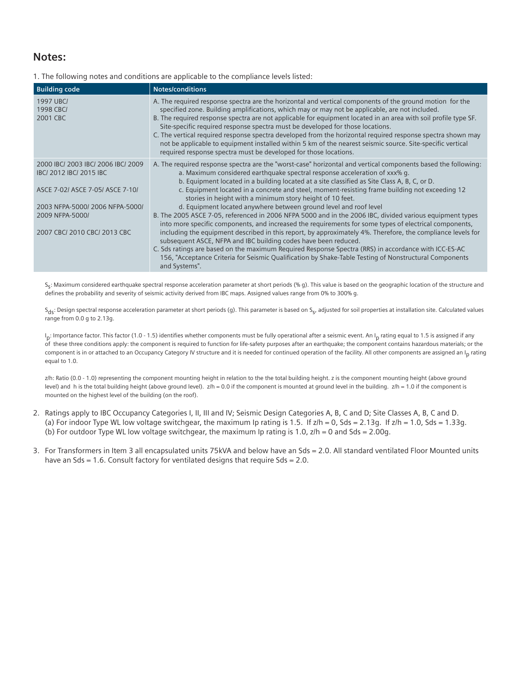## **Notes:**

|  |  | 1. The following notes and conditions are applicable to the compliance levels listed: |
|--|--|---------------------------------------------------------------------------------------|
|  |  |                                                                                       |

| <b>Building code</b>                                                                                                                                                                 | <b>Notes/conditions</b>                                                                                                                                                                                                                                                                                                                                                                                                                                                                                                                                                                                                                                                                                                                                                                                                                                                                                                                                                                                                                                                                                                                                                    |
|--------------------------------------------------------------------------------------------------------------------------------------------------------------------------------------|----------------------------------------------------------------------------------------------------------------------------------------------------------------------------------------------------------------------------------------------------------------------------------------------------------------------------------------------------------------------------------------------------------------------------------------------------------------------------------------------------------------------------------------------------------------------------------------------------------------------------------------------------------------------------------------------------------------------------------------------------------------------------------------------------------------------------------------------------------------------------------------------------------------------------------------------------------------------------------------------------------------------------------------------------------------------------------------------------------------------------------------------------------------------------|
| 1997 UBC/<br>1998 CBC/<br>2001 CBC                                                                                                                                                   | A. The required response spectra are the horizontal and vertical components of the ground motion for the<br>specified zone. Building amplifications, which may or may not be applicable, are not included.<br>B. The required response spectra are not applicable for equipment located in an area with soil profile type SF.<br>Site-specific required response spectra must be developed for those locations.<br>C. The vertical required response spectra developed from the horizontal required response spectra shown may<br>not be applicable to equipment installed within 5 km of the nearest seismic source. Site-specific vertical<br>required response spectra must be developed for those locations.                                                                                                                                                                                                                                                                                                                                                                                                                                                           |
| 2000 IBC/ 2003 IBC/ 2006 IBC/ 2009<br>IBC/2012 IBC/2015 IBC<br>ASCE 7-02/ ASCE 7-05/ ASCE 7-10/<br>2003 NFPA-5000/2006 NFPA-5000/<br>2009 NFPA-5000/<br>2007 CBC/ 2010 CBC/ 2013 CBC | A. The required response spectra are the "worst-case" horizontal and vertical components based the following:<br>a. Maximum considered earthquake spectral response acceleration of xxx% q.<br>b. Equipment located in a building located at a site classified as Site Class A, B, C, or D.<br>c. Equipment located in a concrete and steel, moment-resisting frame building not exceeding 12<br>stories in height with a minimum story height of 10 feet.<br>d. Equipment located anywhere between ground level and roof level<br>B. The 2005 ASCE 7-05, referenced in 2006 NFPA 5000 and in the 2006 IBC, divided various equipment types<br>into more specific components, and increased the requirements for some types of electrical components,<br>including the equipment described in this report, by approximately 4%. Therefore, the compliance levels for<br>subsequent ASCE, NFPA and IBC building codes have been reduced.<br>C. Sds ratings are based on the maximum Required Response Spectra (RRS) in accordance with ICC-ES-AC<br>156, "Acceptance Criteria for Seismic Qualification by Shake-Table Testing of Nonstructural Components<br>and Systems". |

S<sub>5</sub>: Maximum considered earthquake spectral response acceleration parameter at short periods (% g). This value is based on the geographic location of the structure and defines the probability and severity of seismic activity derived from IBC maps. Assigned values range from 0% to 300% g.

 $S_{\text{dc}}$ : Design spectral response acceleration parameter at short periods (g). This parameter is based on  $S_{\text{c}}$ , adjusted for soil properties at installation site. Calculated values range from 0.0 g to 2.13g.

l<sub>p</sub>: Importance factor. This factor (1.0 - 1.5) identifies whether components must be fully operational after a seismic event. An I<sub>p</sub> rating equal to 1.5 is assigned if any of these three conditions apply: the component is required to function for life-safety purposes after an earthquake; the component contains hazardous materials; or the component is in or attached to an Occupancy Category IV structure and it is needed for continued operation of the facility. All other components are assigned an I<sub>p</sub> rating equal to 1.0.

z/h: Ratio (0.0 - 1.0) representing the component mounting height in relation to the the total building height. z is the component mounting height (above ground level) and h is the total building height (above ground level).  $z/h = 0.0$  if the component is mounted at ground level in the building.  $z/h = 1.0$  if the component is mounted on the highest level of the building (on the roof).

- 2. Ratings apply to IBC Occupancy Categories I, II, III and IV; Seismic Design Categories A, B, C and D; Site Classes A, B, C and D. (a) For indoor Type WL low voltage switchgear, the maximum Ip rating is 1.5. If  $z/h = 0$ , Sds = 2.13g. If  $z/h = 1.0$ , Sds = 1.33g. (b) For outdoor Type WL low voltage switchgear, the maximum Ip rating is 1.0,  $z/h = 0$  and Sds = 2.00g.
- 3. For Transformers in Item 3 all encapsulated units 75kVA and below have an Sds = 2.0. All standard ventilated Floor Mounted units have an Sds = 1.6. Consult factory for ventilated designs that require Sds =  $2.0$ .